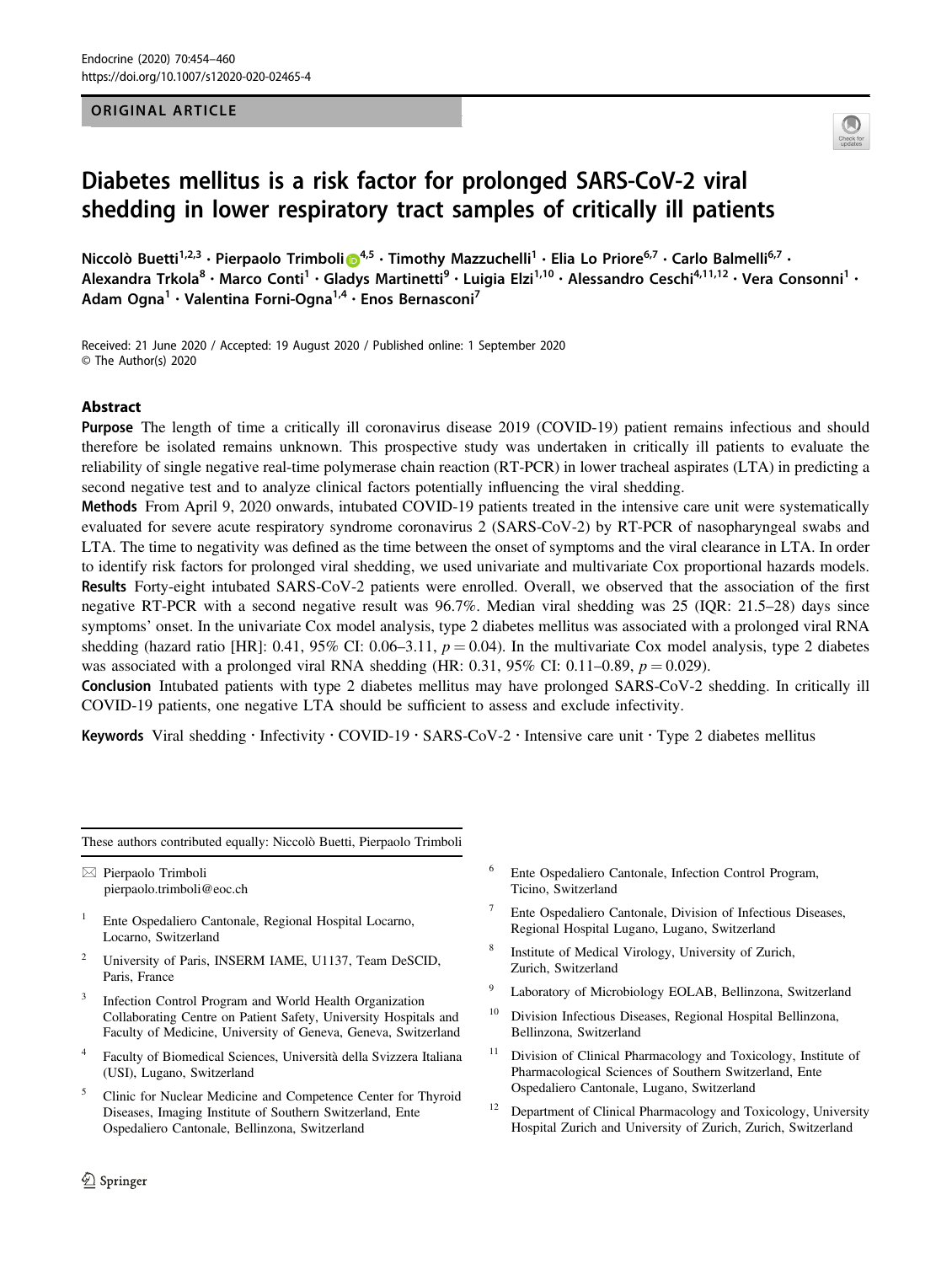# ORIGINAL ARTICLE



# Diabetes mellitus is a risk factor for prolonged SARS-CoV-2 viral shedding in lower respiratory tract samples of critically ill patients

N[i](http://orcid.org/0000-0002-2125-4937)ccolò Buetti<sup>1,2,3</sup> · Pierpaolo Trimboli D<sup>[4](http://orcid.org/0000-0002-2125-4937),5</sup> · Timothy Mazzuchelli<sup>1</sup> · Elia Lo Priore<sup>6,7</sup> · Carlo Balmelli<sup>6,7</sup> · Alexandra Trkola<sup>8</sup> • Marco Conti<sup>1</sup> • Gladys Martinetti<sup>9</sup> • Luigia Elzi<sup>1,10</sup> • Alessandro Ceschi<sup>4,11,12</sup> • Vera Consonni<sup>1</sup> • Adam Ogna<sup>1</sup> • Valentina Forni-Ogna<sup>1,4</sup> • Enos Bernasconi<sup>7</sup>

Received: 21 June 2020 / Accepted: 19 August 2020 / Published online: 1 September 2020 © The Author(s) 2020

# Abstract

Purpose The length of time a critically ill coronavirus disease 2019 (COVID-19) patient remains infectious and should therefore be isolated remains unknown. This prospective study was undertaken in critically ill patients to evaluate the reliability of single negative real-time polymerase chain reaction (RT-PCR) in lower tracheal aspirates (LTA) in predicting a second negative test and to analyze clinical factors potentially influencing the viral shedding.

Methods From April 9, 2020 onwards, intubated COVID-19 patients treated in the intensive care unit were systematically evaluated for severe acute respiratory syndrome coronavirus 2 (SARS-CoV-2) by RT-PCR of nasopharyngeal swabs and LTA. The time to negativity was defined as the time between the onset of symptoms and the viral clearance in LTA. In order to identify risk factors for prolonged viral shedding, we used univariate and multivariate Cox proportional hazards models. Results Forty-eight intubated SARS-CoV-2 patients were enrolled. Overall, we observed that the association of the first negative RT-PCR with a second negative result was 96.7%. Median viral shedding was 25 (IQR: 21.5–28) days since symptoms' onset. In the univariate Cox model analysis, type 2 diabetes mellitus was associated with a prolonged viral RNA shedding (hazard ratio [HR]: 0.41, 95% CI: 0.06–3.11,  $p = 0.04$ ). In the multivariate Cox model analysis, type 2 diabetes was associated with a prolonged viral RNA shedding (HR: 0.31, 95% CI: 0.11–0.89,  $p = 0.029$ ).

Conclusion Intubated patients with type 2 diabetes mellitus may have prolonged SARS-CoV-2 shedding. In critically ill COVID-19 patients, one negative LTA should be sufficient to assess and exclude infectivity.

Keywords Viral shedding · Infectivity · COVID-19 · SARS-CoV-2 · Intensive care unit · Type 2 diabetes mellitus

These authors contributed equally: Niccolò Buetti, Pierpaolo Trimboli

 $\boxtimes$  Pierpaolo Trimboli [pierpaolo.trimboli@eoc.ch](mailto:pierpaolo.trimboli@eoc.ch)

- Ente Ospedaliero Cantonale, Regional Hospital Locarno, Locarno, Switzerland
- <sup>2</sup> University of Paris, INSERM IAME, U1137, Team DeSCID, Paris, France
- <sup>3</sup> Infection Control Program and World Health Organization Collaborating Centre on Patient Safety, University Hospitals and Faculty of Medicine, University of Geneva, Geneva, Switzerland
- <sup>4</sup> Faculty of Biomedical Sciences, Università della Svizzera Italiana (USI), Lugano, Switzerland
- <sup>5</sup> Clinic for Nuclear Medicine and Competence Center for Thyroid Diseases, Imaging Institute of Southern Switzerland, Ente Ospedaliero Cantonale, Bellinzona, Switzerland
- Ente Ospedaliero Cantonale, Infection Control Program, Ticino, Switzerland
- Ente Ospedaliero Cantonale, Division of Infectious Diseases, Regional Hospital Lugano, Lugano, Switzerland
- Institute of Medical Virology, University of Zurich, Zurich, Switzerland
- <sup>9</sup> Laboratory of Microbiology EOLAB, Bellinzona, Switzerland
- <sup>10</sup> Division Infectious Diseases, Regional Hospital Bellinzona, Bellinzona, Switzerland
- <sup>11</sup> Division of Clinical Pharmacology and Toxicology, Institute of Pharmacological Sciences of Southern Switzerland, Ente Ospedaliero Cantonale, Lugano, Switzerland
- <sup>12</sup> Department of Clinical Pharmacology and Toxicology, University Hospital Zurich and University of Zurich, Zurich, Switzerland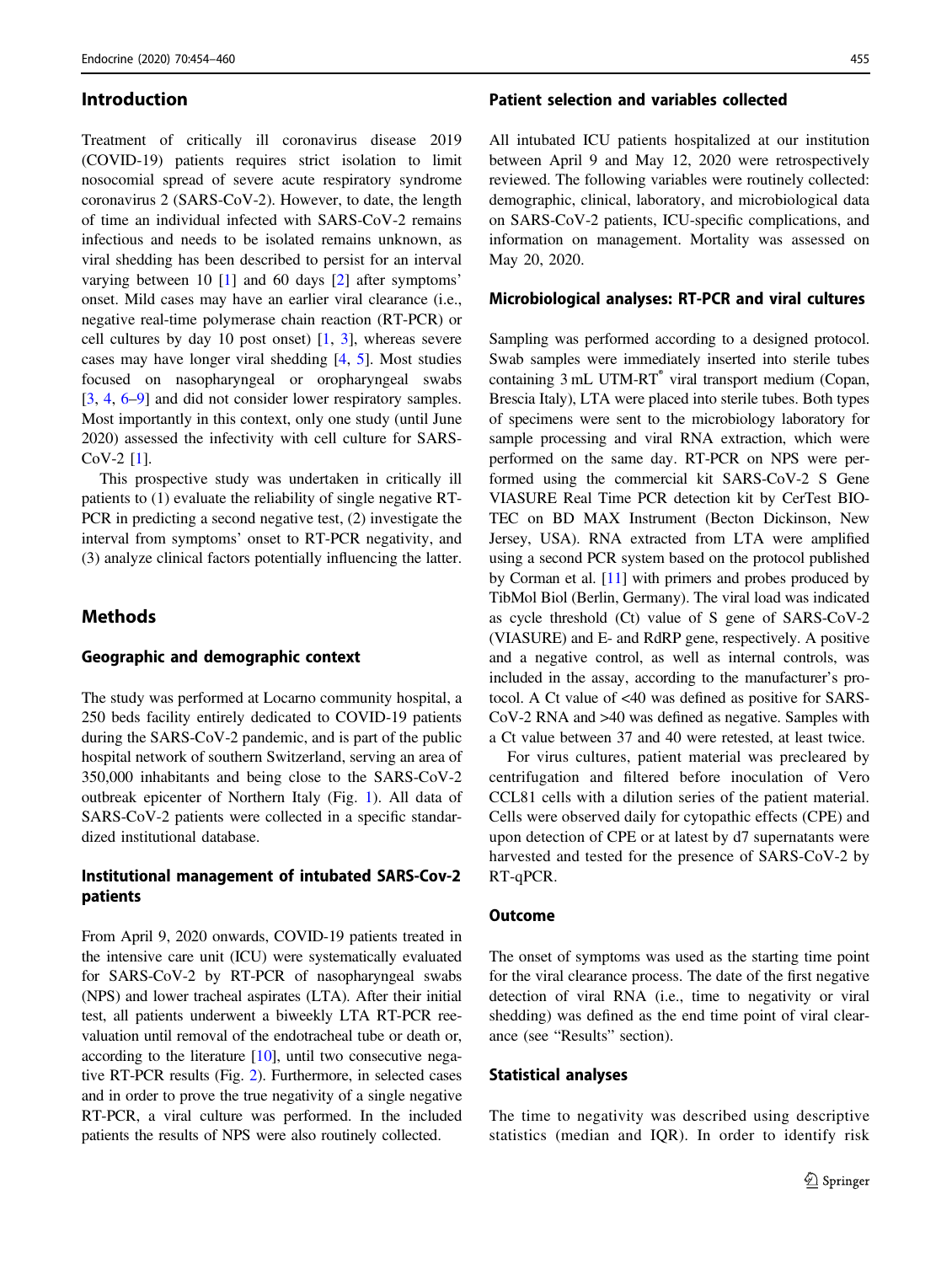# Introduction

Treatment of critically ill coronavirus disease 2019 (COVID-19) patients requires strict isolation to limit nosocomial spread of severe acute respiratory syndrome coronavirus 2 (SARS-CoV-2). However, to date, the length of time an individual infected with SARS-CoV-2 remains infectious and needs to be isolated remains unknown, as viral shedding has been described to persist for an interval varying between 10 [[1\]](#page-5-0) and 60 days [[2\]](#page-5-0) after symptoms' onset. Mild cases may have an earlier viral clearance (i.e., negative real-time polymerase chain reaction (RT-PCR) or cell cultures by day 10 post onset)  $[1, 3]$  $[1, 3]$  $[1, 3]$  $[1, 3]$  $[1, 3]$ , whereas severe cases may have longer viral shedding [\[4](#page-6-0), [5](#page-6-0)]. Most studies focused on nasopharyngeal or oropharyngeal swabs [\[3](#page-5-0), [4,](#page-6-0) [6](#page-6-0)–[9\]](#page-6-0) and did not consider lower respiratory samples. Most importantly in this context, only one study (until June 2020) assessed the infectivity with cell culture for SARS-CoV-2 [[1\]](#page-5-0).

This prospective study was undertaken in critically ill patients to (1) evaluate the reliability of single negative RT-PCR in predicting a second negative test, (2) investigate the interval from symptoms' onset to RT-PCR negativity, and (3) analyze clinical factors potentially influencing the latter.

# Methods

### Geographic and demographic context

The study was performed at Locarno community hospital, a 250 beds facility entirely dedicated to COVID-19 patients during the SARS-CoV-2 pandemic, and is part of the public hospital network of southern Switzerland, serving an area of 350,000 inhabitants and being close to the SARS-CoV-2 outbreak epicenter of Northern Italy (Fig. [1](#page-2-0)). All data of SARS-CoV-2 patients were collected in a specific standardized institutional database.

# Institutional management of intubated SARS-Cov-2 patients

From April 9, 2020 onwards, COVID-19 patients treated in the intensive care unit (ICU) were systematically evaluated for SARS-CoV-2 by RT-PCR of nasopharyngeal swabs (NPS) and lower tracheal aspirates (LTA). After their initial test, all patients underwent a biweekly LTA RT-PCR reevaluation until removal of the endotracheal tube or death or, according to the literature  $[10]$ , until two consecutive negative RT-PCR results (Fig. [2](#page-2-0)). Furthermore, in selected cases and in order to prove the true negativity of a single negative RT-PCR, a viral culture was performed. In the included patients the results of NPS were also routinely collected.

### Patient selection and variables collected

All intubated ICU patients hospitalized at our institution between April 9 and May 12, 2020 were retrospectively reviewed. The following variables were routinely collected: demographic, clinical, laboratory, and microbiological data on SARS-CoV-2 patients, ICU-specific complications, and information on management. Mortality was assessed on May 20, 2020.

### Microbiological analyses: RT-PCR and viral cultures

Sampling was performed according to a designed protocol. Swab samples were immediately inserted into sterile tubes containing 3 mL UTM-RT® viral transport medium (Copan, Brescia Italy), LTA were placed into sterile tubes. Both types of specimens were sent to the microbiology laboratory for sample processing and viral RNA extraction, which were performed on the same day. RT-PCR on NPS were performed using the commercial kit SARS-CoV-2 S Gene VIASURE Real Time PCR detection kit by CerTest BIO-TEC on BD MAX Instrument (Becton Dickinson, New Jersey, USA). RNA extracted from LTA were amplified using a second PCR system based on the protocol published by Corman et al. [[11](#page-6-0)] with primers and probes produced by TibMol Biol (Berlin, Germany). The viral load was indicated as cycle threshold (Ct) value of S gene of SARS-CoV-2 (VIASURE) and E- and RdRP gene, respectively. A positive and a negative control, as well as internal controls, was included in the assay, according to the manufacturer's protocol. A Ct value of <40 was defined as positive for SARS-CoV-2 RNA and >40 was defined as negative. Samples with a Ct value between 37 and 40 were retested, at least twice.

For virus cultures, patient material was precleared by centrifugation and filtered before inoculation of Vero CCL81 cells with a dilution series of the patient material. Cells were observed daily for cytopathic effects (CPE) and upon detection of CPE or at latest by d7 supernatants were harvested and tested for the presence of SARS-CoV-2 by RT-qPCR.

### **Outcome**

The onset of symptoms was used as the starting time point for the viral clearance process. The date of the first negative detection of viral RNA (i.e., time to negativity or viral shedding) was defined as the end time point of viral clearance (see "Results" section).

# Statistical analyses

The time to negativity was described using descriptive statistics (median and IQR). In order to identify risk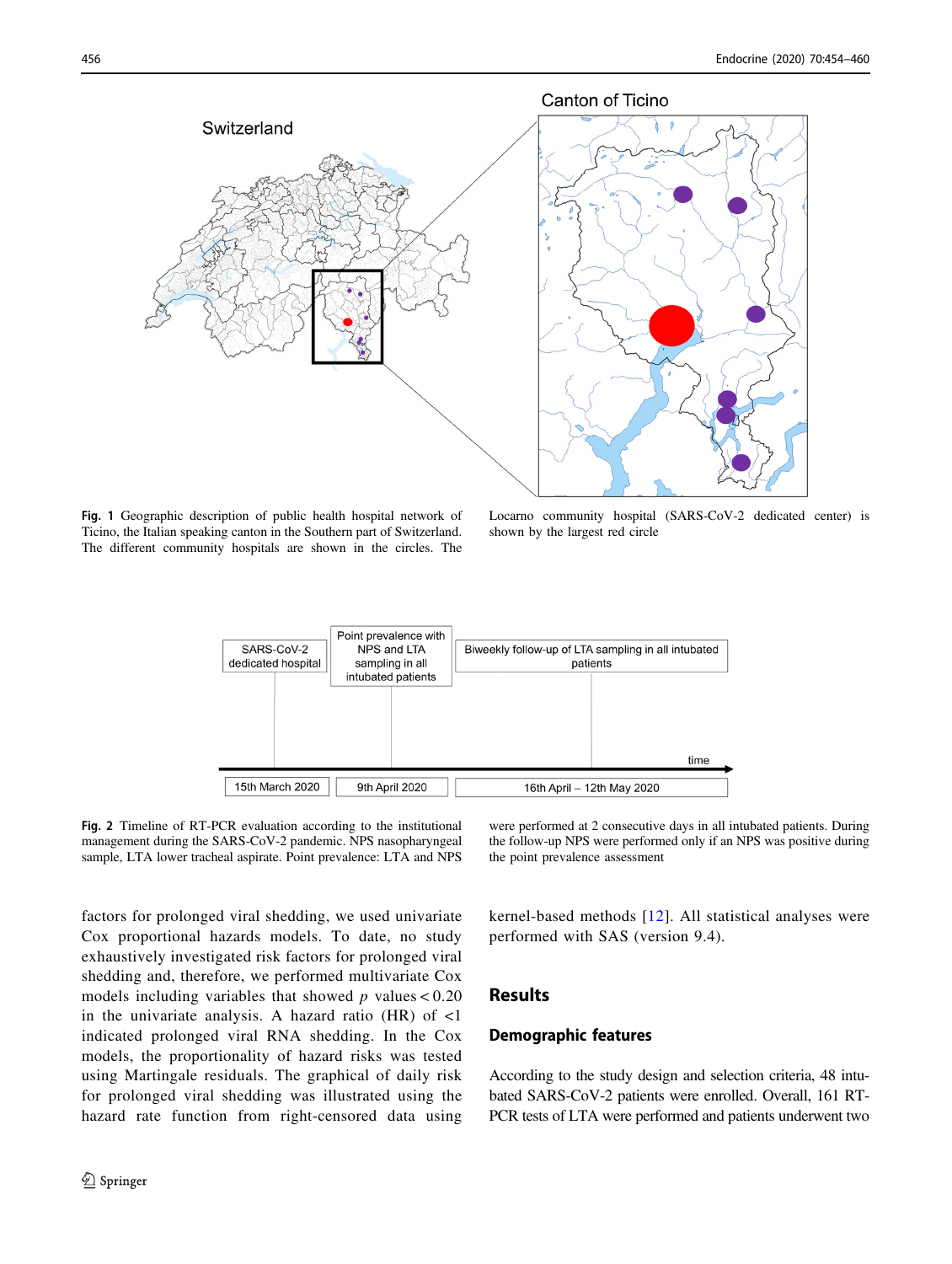<span id="page-2-0"></span>

Fig. 1 Geographic description of public health hospital network of Ticino, the Italian speaking canton in the Southern part of Switzerland. The different community hospitals are shown in the circles. The

Locarno community hospital (SARS-CoV-2 dedicated center) is shown by the largest red circle



Fig. 2 Timeline of RT-PCR evaluation according to the institutional management during the SARS-CoV-2 pandemic. NPS nasopharyngeal sample, LTA lower tracheal aspirate. Point prevalence: LTA and NPS

factors for prolonged viral shedding, we used univariate Cox proportional hazards models. To date, no study exhaustively investigated risk factors for prolonged viral shedding and, therefore, we performed multivariate Cox models including variables that showed  $p$  values  $< 0.20$ in the univariate analysis. A hazard ratio  $(HR)$  of  $\lt 1$ indicated prolonged viral RNA shedding. In the Cox models, the proportionality of hazard risks was tested using Martingale residuals. The graphical of daily risk for prolonged viral shedding was illustrated using the hazard rate function from right-censored data using were performed at 2 consecutive days in all intubated patients. During the follow-up NPS were performed only if an NPS was positive during the point prevalence assessment

kernel-based methods [\[12\]](#page-6-0). All statistical analyses were performed with SAS (version 9.4).

# Results

# Demographic features

According to the study design and selection criteria, 48 intubated SARS-CoV-2 patients were enrolled. Overall, 161 RT-PCR tests of LTA were performed and patients underwent two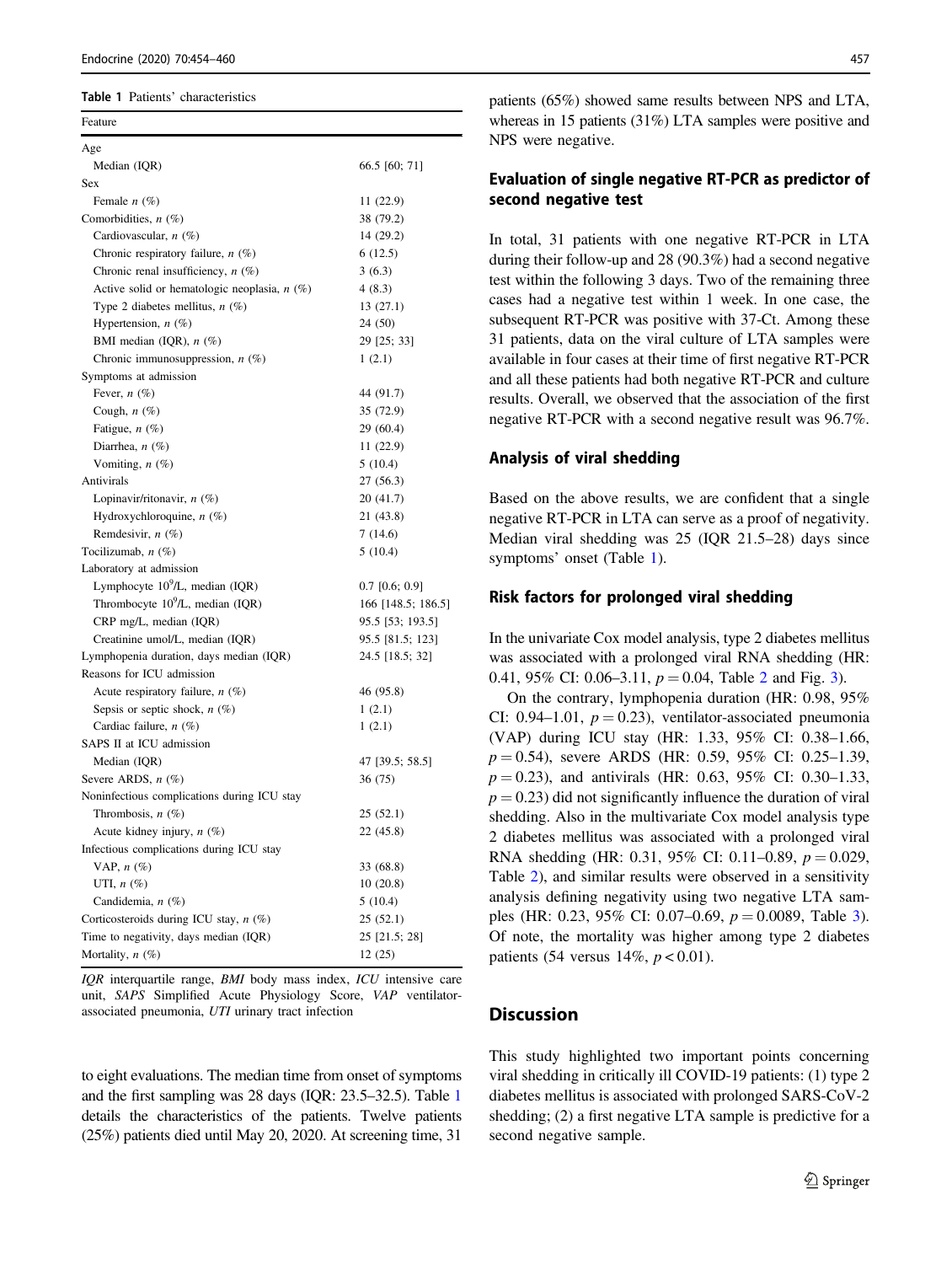#### Table 1 Patients' characteristics

| Feature                                        |                    |
|------------------------------------------------|--------------------|
| Age                                            |                    |
| Median (IQR)                                   | 66.5 [60; 71]      |
| Sex                                            |                    |
| Female $n$ (%)                                 | 11 (22.9)          |
| Comorbidities, $n$ (%)                         | 38 (79.2)          |
| Cardiovascular, $n$ (%)                        | 14 (29.2)          |
| Chronic respiratory failure, $n$ (%)           | 6(12.5)            |
| Chronic renal insufficiency, $n$ (%)           | 3(6.3)             |
| Active solid or hematologic neoplasia, $n$ (%) | 4(8.3)             |
| Type 2 diabetes mellitus, $n$ (%)              | 13 (27.1)          |
| Hypertension, $n$ (%)                          | 24 (50)            |
| BMI median (IQR), $n$ (%)                      | 29 [25; 33]        |
| Chronic immunosuppression, $n$ (%)             | 1(2.1)             |
| Symptoms at admission                          |                    |
| Fever, $n$ (%)                                 | 44 (91.7)          |
| Cough, $n$ $(\%)$                              | 35 (72.9)          |
| Fatigue, $n$ $(\%)$                            | 29 (60.4)          |
| Diarrhea, $n$ $(\%)$                           | 11 (22.9)          |
| Vomiting, $n$ $(\%)$                           | 5(10.4)            |
| Antivirals                                     | 27 (56.3)          |
| Lopinavir/ritonavir, $n$ (%)                   | 20 (41.7)          |
| Hydroxychloroquine, $n$ (%)                    | 21 (43.8)          |
| Remdesivir, $n$ (%)                            | 7 (14.6)           |
| Tocilizumab, n (%)                             | 5(10.4)            |
| Laboratory at admission                        |                    |
| Lymphocyte $10^9$ /L, median (IQR)             | $0.7$ [0.6; 0.9]   |
| Thrombocyte $10^9$ /L, median (IQR)            | 166 [148.5; 186.5] |
| CRP mg/L, median (IQR)                         | 95.5 [53; 193.5]   |
| Creatinine umol/L, median (IQR)                | 95.5 [81.5; 123]   |
| Lymphopenia duration, days median (IQR)        | 24.5 [18.5; 32]    |
| Reasons for ICU admission                      |                    |
| Acute respiratory failure, $n$ (%)             | 46 (95.8)          |
| Sepsis or septic shock, $n$ (%)                | 1(2.1)             |
| Cardiac failure, $n$ (%)                       | 1(2.1)             |
| SAPS II at ICU admission                       |                    |
| Median (IQR)                                   | 47 [39.5; 58.5]    |
| Severe ARDS, $n$ $(\%)$                        | 36 (75)            |
| Noninfectious complications during ICU stay    |                    |
| Thrombosis, $n$ (%)                            | 25(52.1)           |
| Acute kidney injury, $n$ (%)                   | 22 (45.8)          |
| Infectious complications during ICU stay       |                    |
| VAP, $n$ $(\%)$                                | 33 (68.8)          |
| UTI, $n$ $(\%)$                                | 10(20.8)           |
| Candidemia, $n$ (%)                            | 5(10.4)            |
| Corticosteroids during ICU stay, n (%)         | 25 (52.1)          |
| Time to negativity, days median (IQR)          | 25 [21.5; 28]      |
| Mortality, $n$ $(\%)$                          | 12(25)             |

IQR interquartile range, BMI body mass index, ICU intensive care unit, SAPS Simplified Acute Physiology Score, VAP ventilatorassociated pneumonia, UTI urinary tract infection

to eight evaluations. The median time from onset of symptoms and the first sampling was 28 days (IQR: 23.5–32.5). Table 1 details the characteristics of the patients. Twelve patients (25%) patients died until May 20, 2020. At screening time, 31

patients (65%) showed same results between NPS and LTA, whereas in 15 patients (31%) LTA samples were positive and NPS were negative.

# Evaluation of single negative RT-PCR as predictor of second negative test

In total, 31 patients with one negative RT-PCR in LTA during their follow-up and 28 (90.3%) had a second negative test within the following 3 days. Two of the remaining three cases had a negative test within 1 week. In one case, the subsequent RT-PCR was positive with 37-Ct. Among these 31 patients, data on the viral culture of LTA samples were available in four cases at their time of first negative RT-PCR and all these patients had both negative RT-PCR and culture results. Overall, we observed that the association of the first negative RT-PCR with a second negative result was 96.7%.

#### Analysis of viral shedding

Based on the above results, we are confident that a single negative RT-PCR in LTA can serve as a proof of negativity. Median viral shedding was 25 (IQR 21.5–28) days since symptoms' onset (Table 1).

### Risk factors for prolonged viral shedding

In the univariate Cox model analysis, type 2 diabetes mellitus was associated with a prolonged viral RNA shedding (HR: 0.41, 95% CI: 0.06–3.11,  $p = 0.04$ , Table [2](#page-4-0) and Fig. [3\)](#page-4-0).

On the contrary, lymphopenia duration (HR: 0.98, 95% CI: 0.94–1.01,  $p = 0.23$ ), ventilator-associated pneumonia (VAP) during ICU stay (HR: 1.33, 95% CI: 0.38–1.66,  $p = 0.54$ ), severe ARDS (HR: 0.59, 95% CI: 0.25–1.39,  $p = 0.23$ ), and antivirals (HR: 0.63, 95% CI: 0.30–1.33,  $p = 0.23$ ) did not significantly influence the duration of viral shedding. Also in the multivariate Cox model analysis type 2 diabetes mellitus was associated with a prolonged viral RNA shedding (HR: 0.31, 95% CI: 0.11–0.89,  $p = 0.029$ , Table [2\)](#page-4-0), and similar results were observed in a sensitivity analysis defining negativity using two negative LTA samples (HR: 0.23, 95% CI: 0.07–0.69,  $p = 0.0089$ , Table [3\)](#page-4-0). Of note, the mortality was higher among type 2 diabetes patients (54 versus 14%,  $p < 0.01$ ).

# **Discussion**

This study highlighted two important points concerning viral shedding in critically ill COVID-19 patients: (1) type 2 diabetes mellitus is associated with prolonged SARS-CoV-2 shedding; (2) a first negative LTA sample is predictive for a second negative sample.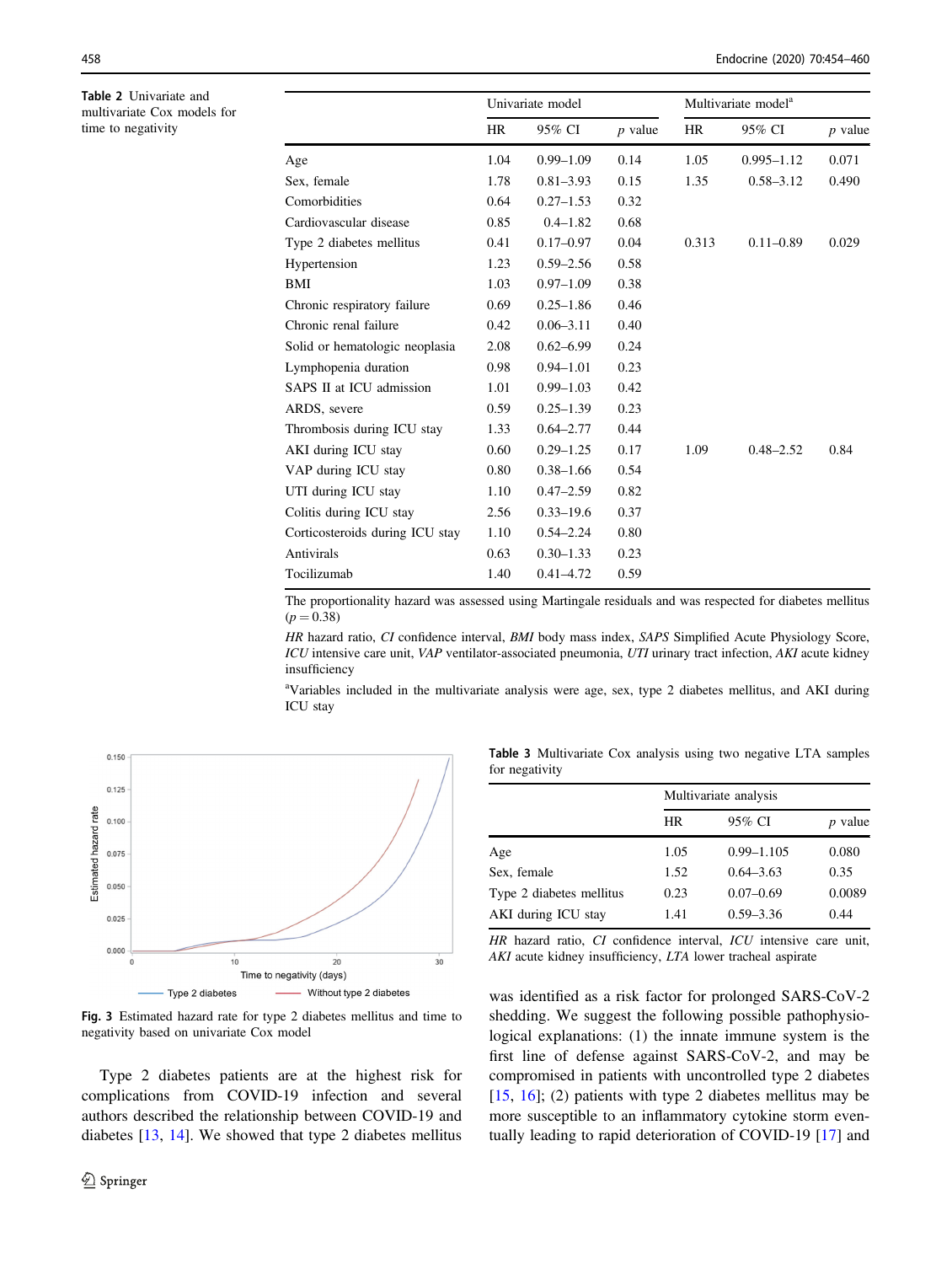<span id="page-4-0"></span>Table 2 Univariate and multivariate Cox models for time to negativity

|                                 | Univariate model |               | Multivariate model <sup>a</sup> |       |                |                |
|---------------------------------|------------------|---------------|---------------------------------|-------|----------------|----------------|
|                                 | HR               | 95% CI        | $p$ value                       | HR    | 95% CI         | <i>p</i> value |
| Age                             | 1.04             | $0.99 - 1.09$ | 0.14                            | 1.05  | $0.995 - 1.12$ | 0.071          |
| Sex, female                     | 1.78             | $0.81 - 3.93$ | 0.15                            | 1.35  | $0.58 - 3.12$  | 0.490          |
| Comorbidities                   | 0.64             | $0.27 - 1.53$ | 0.32                            |       |                |                |
| Cardiovascular disease          | 0.85             | $0.4 - 1.82$  | 0.68                            |       |                |                |
| Type 2 diabetes mellitus        | 0.41             | $0.17 - 0.97$ | 0.04                            | 0.313 | $0.11 - 0.89$  | 0.029          |
| Hypertension                    | 1.23             | $0.59 - 2.56$ | 0.58                            |       |                |                |
| <b>BMI</b>                      | 1.03             | $0.97 - 1.09$ | 0.38                            |       |                |                |
| Chronic respiratory failure     | 0.69             | $0.25 - 1.86$ | 0.46                            |       |                |                |
| Chronic renal failure           | 0.42             | $0.06 - 3.11$ | 0.40                            |       |                |                |
| Solid or hematologic neoplasia  | 2.08             | $0.62 - 6.99$ | 0.24                            |       |                |                |
| Lymphopenia duration            | 0.98             | $0.94 - 1.01$ | 0.23                            |       |                |                |
| SAPS II at ICU admission        | 1.01             | $0.99 - 1.03$ | 0.42                            |       |                |                |
| ARDS, severe                    | 0.59             | $0.25 - 1.39$ | 0.23                            |       |                |                |
| Thrombosis during ICU stay      | 1.33             | $0.64 - 2.77$ | 0.44                            |       |                |                |
| AKI during ICU stay             | 0.60             | $0.29 - 1.25$ | 0.17                            | 1.09  | $0.48 - 2.52$  | 0.84           |
| VAP during ICU stay             | 0.80             | $0.38 - 1.66$ | 0.54                            |       |                |                |
| UTI during ICU stay             | 1.10             | $0.47 - 2.59$ | 0.82                            |       |                |                |
| Colitis during ICU stay         | 2.56             | $0.33 - 19.6$ | 0.37                            |       |                |                |
| Corticosteroids during ICU stay | 1.10             | $0.54 - 2.24$ | 0.80                            |       |                |                |
| Antivirals                      | 0.63             | $0.30 - 1.33$ | 0.23                            |       |                |                |
| Tocilizumab                     | 1.40             | $0.41 - 4.72$ | 0.59                            |       |                |                |

The proportionality hazard was assessed using Martingale residuals and was respected for diabetes mellitus  $(p = 0.38)$ 

HR hazard ratio, CI confidence interval, BMI body mass index, SAPS Simplified Acute Physiology Score, ICU intensive care unit, VAP ventilator-associated pneumonia, UTI urinary tract infection, AKI acute kidney insufficiency

<sup>a</sup>Variables included in the multivariate analysis were age, sex, type 2 diabetes mellitus, and AKI during ICU stay



Fig. 3 Estimated hazard rate for type 2 diabetes mellitus and time to negativity based on univariate Cox model

Type 2 diabetes patients are at the highest risk for complications from COVID-19 infection and several authors described the relationship between COVID-19 and diabetes [[13,](#page-6-0) [14\]](#page-6-0). We showed that type 2 diabetes mellitus

Table 3 Multivariate Cox analysis using two negative LTA samples for negativity

|                          | Multivariate analysis |                |                |  |
|--------------------------|-----------------------|----------------|----------------|--|
|                          | <b>HR</b>             | 95% CI         | <i>p</i> value |  |
| Age                      | 1.05                  | $0.99 - 1.105$ | 0.080          |  |
| Sex, female              | 1.52                  | $0.64 - 3.63$  | 0.35           |  |
| Type 2 diabetes mellitus | 0.23                  | $0.07 - 0.69$  | 0.0089         |  |
| AKI during ICU stay      | 1.41                  | $0.59 - 3.36$  | 0.44           |  |

HR hazard ratio, CI confidence interval, ICU intensive care unit, AKI acute kidney insufficiency, LTA lower tracheal aspirate

was identified as a risk factor for prolonged SARS-CoV-2 shedding. We suggest the following possible pathophysiological explanations: (1) the innate immune system is the first line of defense against SARS-CoV-2, and may be compromised in patients with uncontrolled type 2 diabetes [\[15](#page-6-0), [16](#page-6-0)]; (2) patients with type 2 diabetes mellitus may be more susceptible to an inflammatory cytokine storm eventually leading to rapid deterioration of COVID-19 [[17\]](#page-6-0) and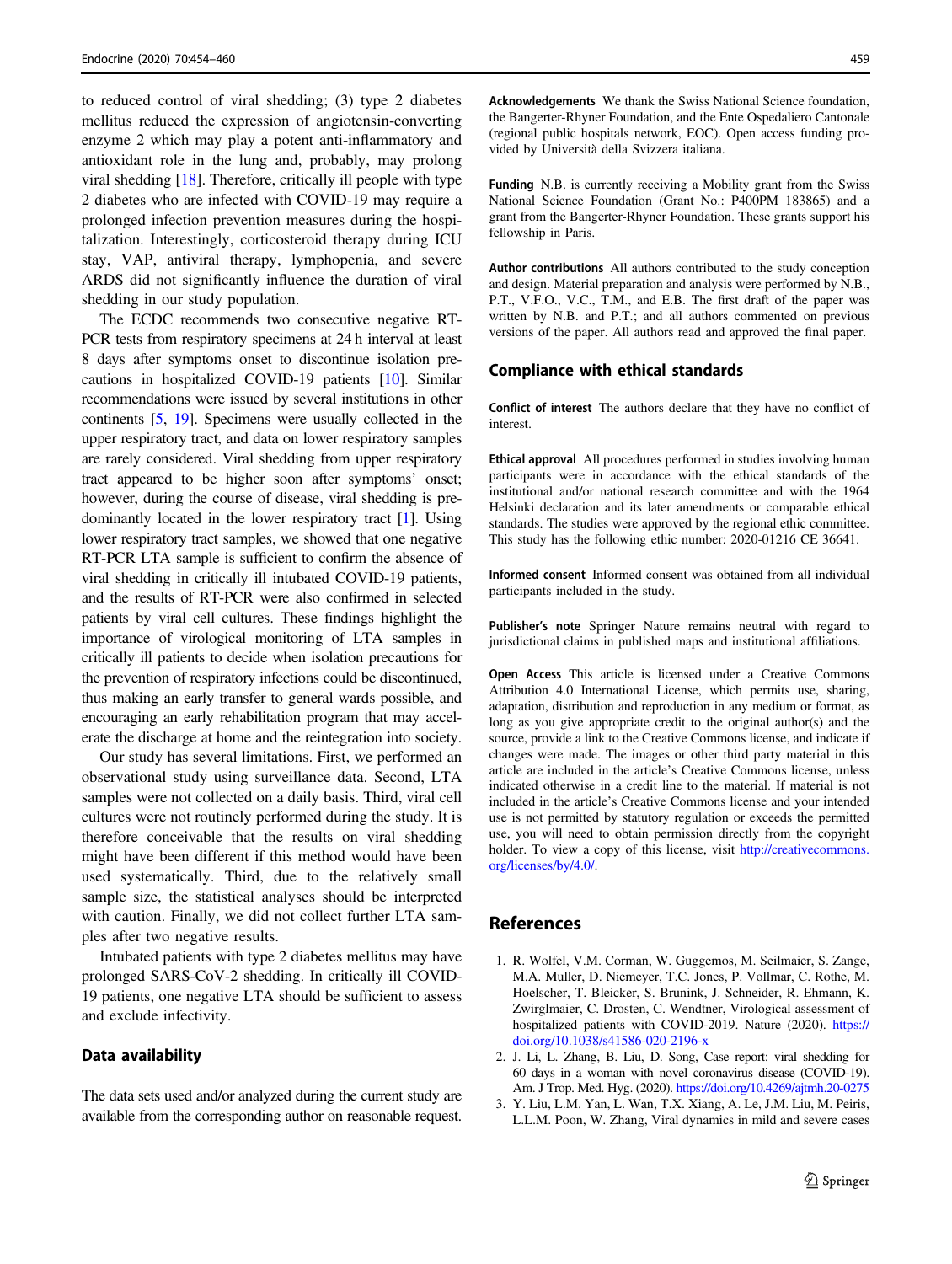<span id="page-5-0"></span>to reduced control of viral shedding; (3) type 2 diabetes mellitus reduced the expression of angiotensin-converting enzyme 2 which may play a potent anti-inflammatory and antioxidant role in the lung and, probably, may prolong viral shedding [\[18](#page-6-0)]. Therefore, critically ill people with type 2 diabetes who are infected with COVID-19 may require a prolonged infection prevention measures during the hospitalization. Interestingly, corticosteroid therapy during ICU stay, VAP, antiviral therapy, lymphopenia, and severe ARDS did not significantly influence the duration of viral shedding in our study population.

The ECDC recommends two consecutive negative RT-PCR tests from respiratory specimens at 24 h interval at least 8 days after symptoms onset to discontinue isolation precautions in hospitalized COVID-19 patients [\[10](#page-6-0)]. Similar recommendations were issued by several institutions in other continents [\[5](#page-6-0), [19](#page-6-0)]. Specimens were usually collected in the upper respiratory tract, and data on lower respiratory samples are rarely considered. Viral shedding from upper respiratory tract appeared to be higher soon after symptoms' onset; however, during the course of disease, viral shedding is predominantly located in the lower respiratory tract [1]. Using lower respiratory tract samples, we showed that one negative RT-PCR LTA sample is sufficient to confirm the absence of viral shedding in critically ill intubated COVID-19 patients, and the results of RT-PCR were also confirmed in selected patients by viral cell cultures. These findings highlight the importance of virological monitoring of LTA samples in critically ill patients to decide when isolation precautions for the prevention of respiratory infections could be discontinued, thus making an early transfer to general wards possible, and encouraging an early rehabilitation program that may accelerate the discharge at home and the reintegration into society.

Our study has several limitations. First, we performed an observational study using surveillance data. Second, LTA samples were not collected on a daily basis. Third, viral cell cultures were not routinely performed during the study. It is therefore conceivable that the results on viral shedding might have been different if this method would have been used systematically. Third, due to the relatively small sample size, the statistical analyses should be interpreted with caution. Finally, we did not collect further LTA samples after two negative results.

Intubated patients with type 2 diabetes mellitus may have prolonged SARS-CoV-2 shedding. In critically ill COVID-19 patients, one negative LTA should be sufficient to assess and exclude infectivity.

### Data availability

The data sets used and/or analyzed during the current study are available from the corresponding author on reasonable request. Acknowledgements We thank the Swiss National Science foundation, the Bangerter-Rhyner Foundation, and the Ente Ospedaliero Cantonale (regional public hospitals network, EOC). Open access funding provided by Università della Svizzera italiana.

Funding N.B. is currently receiving a Mobility grant from the Swiss National Science Foundation (Grant No.: P400PM\_183865) and a grant from the Bangerter-Rhyner Foundation. These grants support his fellowship in Paris.

Author contributions All authors contributed to the study conception and design. Material preparation and analysis were performed by N.B., P.T., V.F.O., V.C., T.M., and E.B. The first draft of the paper was written by N.B. and P.T.; and all authors commented on previous versions of the paper. All authors read and approved the final paper.

#### Compliance with ethical standards

Conflict of interest The authors declare that they have no conflict of interest.

Ethical approval All procedures performed in studies involving human participants were in accordance with the ethical standards of the institutional and/or national research committee and with the 1964 Helsinki declaration and its later amendments or comparable ethical standards. The studies were approved by the regional ethic committee. This study has the following ethic number: 2020-01216 CE 36641.

Informed consent Informed consent was obtained from all individual participants included in the study.

Publisher's note Springer Nature remains neutral with regard to jurisdictional claims in published maps and institutional affiliations.

Open Access This article is licensed under a Creative Commons Attribution 4.0 International License, which permits use, sharing, adaptation, distribution and reproduction in any medium or format, as long as you give appropriate credit to the original author(s) and the source, provide a link to the Creative Commons license, and indicate if changes were made. The images or other third party material in this article are included in the article's Creative Commons license, unless indicated otherwise in a credit line to the material. If material is not included in the article's Creative Commons license and your intended use is not permitted by statutory regulation or exceeds the permitted use, you will need to obtain permission directly from the copyright holder. To view a copy of this license, visit [http://creativecommons.](http://creativecommons.org/licenses/by/4.0/) [org/licenses/by/4.0/](http://creativecommons.org/licenses/by/4.0/).

# References

- 1. R. Wolfel, V.M. Corman, W. Guggemos, M. Seilmaier, S. Zange, M.A. Muller, D. Niemeyer, T.C. Jones, P. Vollmar, C. Rothe, M. Hoelscher, T. Bleicker, S. Brunink, J. Schneider, R. Ehmann, K. Zwirglmaier, C. Drosten, C. Wendtner, Virological assessment of hospitalized patients with COVID-2019. Nature (2020). [https://](https://doi.org/10.1038/s41586-020-2196-x) [doi.org/10.1038/s41586-020-2196-x](https://doi.org/10.1038/s41586-020-2196-x)
- 2. J. Li, L. Zhang, B. Liu, D. Song, Case report: viral shedding for 60 days in a woman with novel coronavirus disease (COVID-19). Am. J Trop. Med. Hyg. (2020). <https://doi.org/10.4269/ajtmh.20-0275>
- 3. Y. Liu, L.M. Yan, L. Wan, T.X. Xiang, A. Le, J.M. Liu, M. Peiris, L.L.M. Poon, W. Zhang, Viral dynamics in mild and severe cases